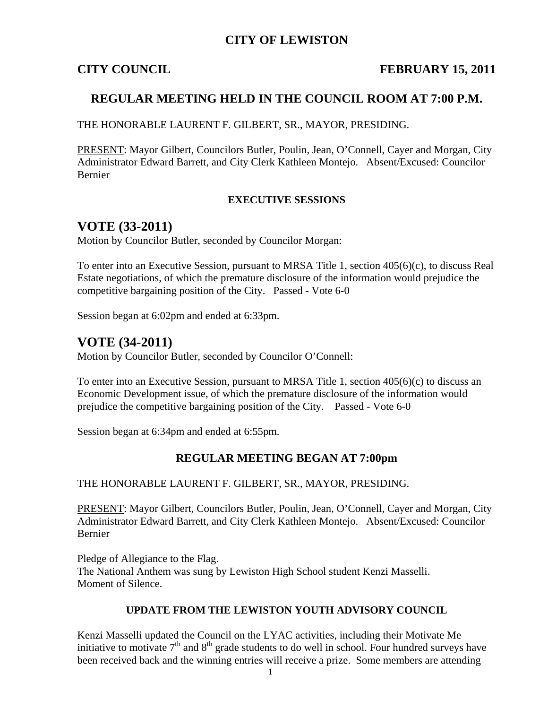## **CITY OF LEWISTON**

## **CITY COUNCIL FEBRUARY 15, 2011**

## **REGULAR MEETING HELD IN THE COUNCIL ROOM AT 7:00 P.M.**

THE HONORABLE LAURENT F. GILBERT, SR., MAYOR, PRESIDING.

PRESENT: Mayor Gilbert, Councilors Butler, Poulin, Jean, O'Connell, Cayer and Morgan, City Administrator Edward Barrett, and City Clerk Kathleen Montejo. Absent/Excused: Councilor Bernier

### **EXECUTIVE SESSIONS**

## **VOTE (33-2011)**

Motion by Councilor Butler, seconded by Councilor Morgan:

To enter into an Executive Session, pursuant to MRSA Title 1, section 405(6)(c), to discuss Real Estate negotiations, of which the premature disclosure of the information would prejudice the competitive bargaining position of the City. Passed - Vote 6-0

Session began at 6:02pm and ended at 6:33pm.

## **VOTE (34-2011)**

Motion by Councilor Butler, seconded by Councilor O'Connell:

To enter into an Executive Session, pursuant to MRSA Title 1, section 405(6)(c) to discuss an Economic Development issue, of which the premature disclosure of the information would prejudice the competitive bargaining position of the City. Passed - Vote 6-0

Session began at 6:34pm and ended at 6:55pm.

## **REGULAR MEETING BEGAN AT 7:00pm**

THE HONORABLE LAURENT F. GILBERT, SR., MAYOR, PRESIDING.

PRESENT: Mayor Gilbert, Councilors Butler, Poulin, Jean, O'Connell, Cayer and Morgan, City Administrator Edward Barrett, and City Clerk Kathleen Montejo. Absent/Excused: Councilor Bernier

Pledge of Allegiance to the Flag. The National Anthem was sung by Lewiston High School student Kenzi Masselli. Moment of Silence.

#### **UPDATE FROM THE LEWISTON YOUTH ADVISORY COUNCIL**

Kenzi Masselli updated the Council on the LYAC activities, including their Motivate Me initiative to motivate  $7<sup>th</sup>$  and  $8<sup>th</sup>$  grade students to do well in school. Four hundred surveys have been received back and the winning entries will receive a prize. Some members are attending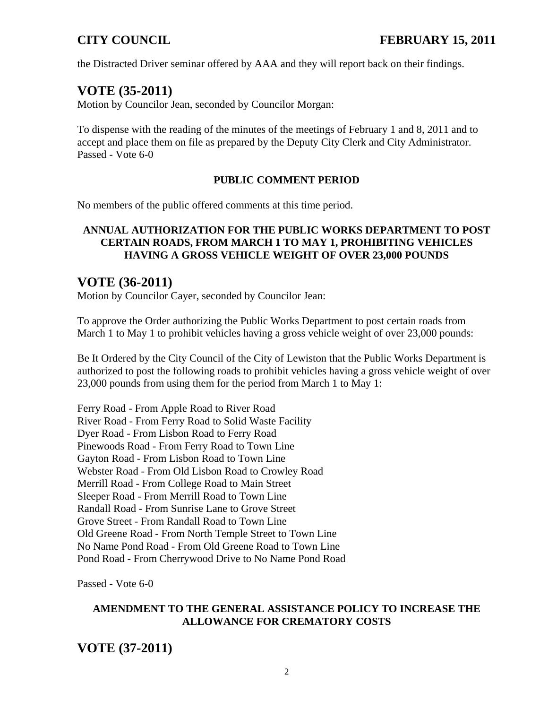the Distracted Driver seminar offered by AAA and they will report back on their findings.

# **VOTE (35-2011)**

Motion by Councilor Jean, seconded by Councilor Morgan:

To dispense with the reading of the minutes of the meetings of February 1 and 8, 2011 and to accept and place them on file as prepared by the Deputy City Clerk and City Administrator. Passed - Vote 6-0

## **PUBLIC COMMENT PERIOD**

No members of the public offered comments at this time period.

## **ANNUAL AUTHORIZATION FOR THE PUBLIC WORKS DEPARTMENT TO POST CERTAIN ROADS, FROM MARCH 1 TO MAY 1, PROHIBITING VEHICLES HAVING A GROSS VEHICLE WEIGHT OF OVER 23,000 POUNDS**

## **VOTE (36-2011)**

Motion by Councilor Cayer, seconded by Councilor Jean:

To approve the Order authorizing the Public Works Department to post certain roads from March 1 to May 1 to prohibit vehicles having a gross vehicle weight of over 23,000 pounds:

Be It Ordered by the City Council of the City of Lewiston that the Public Works Department is authorized to post the following roads to prohibit vehicles having a gross vehicle weight of over 23,000 pounds from using them for the period from March 1 to May 1:

Ferry Road - From Apple Road to River Road River Road - From Ferry Road to Solid Waste Facility Dyer Road - From Lisbon Road to Ferry Road Pinewoods Road - From Ferry Road to Town Line Gayton Road - From Lisbon Road to Town Line Webster Road - From Old Lisbon Road to Crowley Road Merrill Road - From College Road to Main Street Sleeper Road - From Merrill Road to Town Line Randall Road - From Sunrise Lane to Grove Street Grove Street - From Randall Road to Town Line Old Greene Road - From North Temple Street to Town Line No Name Pond Road - From Old Greene Road to Town Line Pond Road - From Cherrywood Drive to No Name Pond Road

Passed - Vote 6-0

## **AMENDMENT TO THE GENERAL ASSISTANCE POLICY TO INCREASE THE ALLOWANCE FOR CREMATORY COSTS**

**VOTE (37-2011)**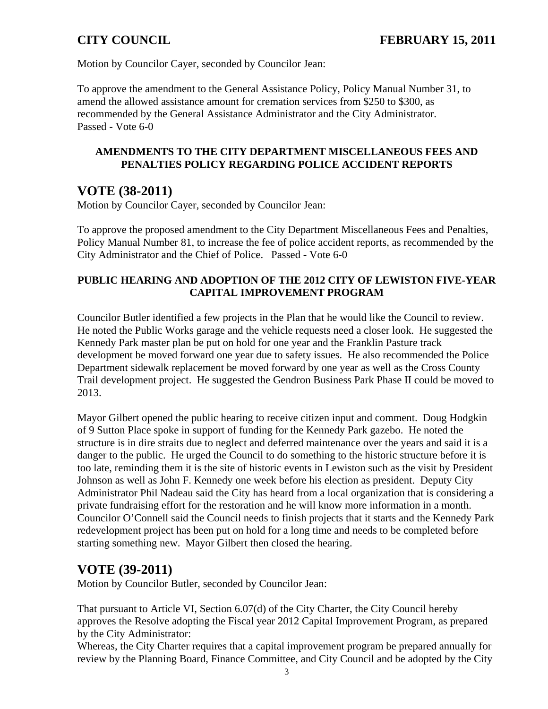Motion by Councilor Cayer, seconded by Councilor Jean:

To approve the amendment to the General Assistance Policy, Policy Manual Number 31, to amend the allowed assistance amount for cremation services from \$250 to \$300, as recommended by the General Assistance Administrator and the City Administrator. Passed - Vote 6-0

## **AMENDMENTS TO THE CITY DEPARTMENT MISCELLANEOUS FEES AND PENALTIES POLICY REGARDING POLICE ACCIDENT REPORTS**

# **VOTE (38-2011)**

Motion by Councilor Cayer, seconded by Councilor Jean:

To approve the proposed amendment to the City Department Miscellaneous Fees and Penalties, Policy Manual Number 81, to increase the fee of police accident reports, as recommended by the City Administrator and the Chief of Police. Passed - Vote 6-0

## **PUBLIC HEARING AND ADOPTION OF THE 2012 CITY OF LEWISTON FIVE-YEAR CAPITAL IMPROVEMENT PROGRAM**

Councilor Butler identified a few projects in the Plan that he would like the Council to review. He noted the Public Works garage and the vehicle requests need a closer look. He suggested the Kennedy Park master plan be put on hold for one year and the Franklin Pasture track development be moved forward one year due to safety issues. He also recommended the Police Department sidewalk replacement be moved forward by one year as well as the Cross County Trail development project. He suggested the Gendron Business Park Phase II could be moved to 2013.

Mayor Gilbert opened the public hearing to receive citizen input and comment. Doug Hodgkin of 9 Sutton Place spoke in support of funding for the Kennedy Park gazebo. He noted the structure is in dire straits due to neglect and deferred maintenance over the years and said it is a danger to the public. He urged the Council to do something to the historic structure before it is too late, reminding them it is the site of historic events in Lewiston such as the visit by President Johnson as well as John F. Kennedy one week before his election as president. Deputy City Administrator Phil Nadeau said the City has heard from a local organization that is considering a private fundraising effort for the restoration and he will know more information in a month. Councilor O'Connell said the Council needs to finish projects that it starts and the Kennedy Park redevelopment project has been put on hold for a long time and needs to be completed before starting something new. Mayor Gilbert then closed the hearing.

# **VOTE (39-2011)**

Motion by Councilor Butler, seconded by Councilor Jean:

That pursuant to Article VI, Section 6.07(d) of the City Charter, the City Council hereby approves the Resolve adopting the Fiscal year 2012 Capital Improvement Program, as prepared by the City Administrator:

Whereas, the City Charter requires that a capital improvement program be prepared annually for review by the Planning Board, Finance Committee, and City Council and be adopted by the City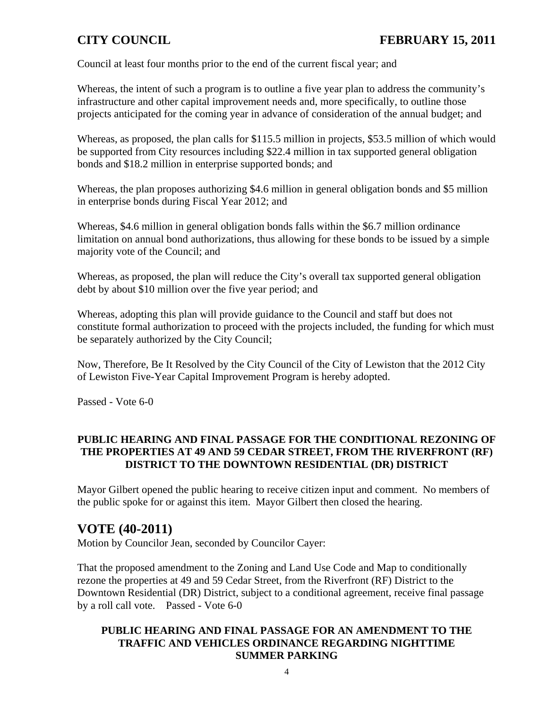Council at least four months prior to the end of the current fiscal year; and

Whereas, the intent of such a program is to outline a five year plan to address the community's infrastructure and other capital improvement needs and, more specifically, to outline those projects anticipated for the coming year in advance of consideration of the annual budget; and

Whereas, as proposed, the plan calls for \$115.5 million in projects, \$53.5 million of which would be supported from City resources including \$22.4 million in tax supported general obligation bonds and \$18.2 million in enterprise supported bonds; and

Whereas, the plan proposes authorizing \$4.6 million in general obligation bonds and \$5 million in enterprise bonds during Fiscal Year 2012; and

Whereas, \$4.6 million in general obligation bonds falls within the \$6.7 million ordinance limitation on annual bond authorizations, thus allowing for these bonds to be issued by a simple majority vote of the Council; and

Whereas, as proposed, the plan will reduce the City's overall tax supported general obligation debt by about \$10 million over the five year period; and

Whereas, adopting this plan will provide guidance to the Council and staff but does not constitute formal authorization to proceed with the projects included, the funding for which must be separately authorized by the City Council;

Now, Therefore, Be It Resolved by the City Council of the City of Lewiston that the 2012 City of Lewiston Five-Year Capital Improvement Program is hereby adopted.

Passed - Vote 6-0

## **PUBLIC HEARING AND FINAL PASSAGE FOR THE CONDITIONAL REZONING OF THE PROPERTIES AT 49 AND 59 CEDAR STREET, FROM THE RIVERFRONT (RF) DISTRICT TO THE DOWNTOWN RESIDENTIAL (DR) DISTRICT**

Mayor Gilbert opened the public hearing to receive citizen input and comment. No members of the public spoke for or against this item. Mayor Gilbert then closed the hearing.

# **VOTE (40-2011)**

Motion by Councilor Jean, seconded by Councilor Cayer:

That the proposed amendment to the Zoning and Land Use Code and Map to conditionally rezone the properties at 49 and 59 Cedar Street, from the Riverfront (RF) District to the Downtown Residential (DR) District, subject to a conditional agreement, receive final passage by a roll call vote. Passed - Vote 6-0

## **PUBLIC HEARING AND FINAL PASSAGE FOR AN AMENDMENT TO THE TRAFFIC AND VEHICLES ORDINANCE REGARDING NIGHTTIME SUMMER PARKING**